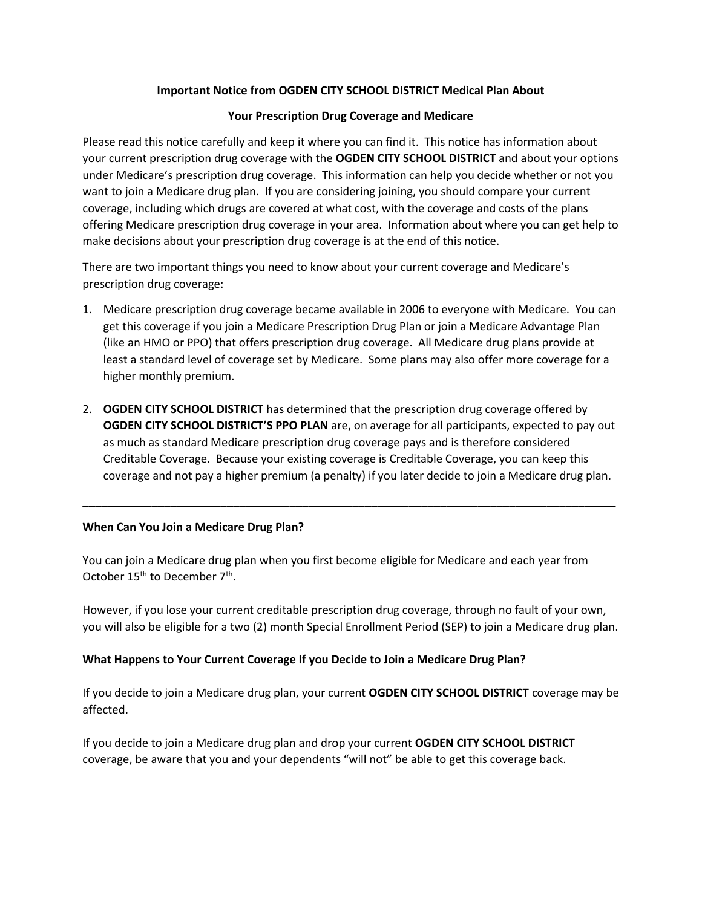## **Important Notice from OGDEN CITY SCHOOL DISTRICT Medical Plan About**

#### **Your Prescription Drug Coverage and Medicare**

Please read this notice carefully and keep it where you can find it. This notice has information about your current prescription drug coverage with the **OGDEN CITY SCHOOL DISTRICT** and about your options under Medicare's prescription drug coverage. This information can help you decide whether or not you want to join a Medicare drug plan. If you are considering joining, you should compare your current coverage, including which drugs are covered at what cost, with the coverage and costs of the plans offering Medicare prescription drug coverage in your area. Information about where you can get help to make decisions about your prescription drug coverage is at the end of this notice.

There are two important things you need to know about your current coverage and Medicare's prescription drug coverage:

- 1. Medicare prescription drug coverage became available in 2006 to everyone with Medicare. You can get this coverage if you join a Medicare Prescription Drug Plan or join a Medicare Advantage Plan (like an HMO or PPO) that offers prescription drug coverage. All Medicare drug plans provide at least a standard level of coverage set by Medicare. Some plans may also offer more coverage for a higher monthly premium.
- 2. **OGDEN CITY SCHOOL DISTRICT** has determined that the prescription drug coverage offered by **OGDEN CITY SCHOOL DISTRICT'S PPO PLAN** are, on average for all participants, expected to pay out as much as standard Medicare prescription drug coverage pays and is therefore considered Creditable Coverage. Because your existing coverage is Creditable Coverage, you can keep this coverage and not pay a higher premium (a penalty) if you later decide to join a Medicare drug plan.

**\_\_\_\_\_\_\_\_\_\_\_\_\_\_\_\_\_\_\_\_\_\_\_\_\_\_\_\_\_\_\_\_\_\_\_\_\_\_\_\_\_\_\_\_\_\_\_\_\_\_\_\_\_\_\_\_\_\_\_\_\_\_\_\_\_\_\_\_\_\_\_\_\_\_\_\_\_\_\_\_\_\_\_\_\_**

### **When Can You Join a Medicare Drug Plan?**

You can join a Medicare drug plan when you first become eligible for Medicare and each year from October  $15^{th}$  to December  $7^{th}$ .

However, if you lose your current creditable prescription drug coverage, through no fault of your own, you will also be eligible for a two (2) month Special Enrollment Period (SEP) to join a Medicare drug plan.

### **What Happens to Your Current Coverage If you Decide to Join a Medicare Drug Plan?**

If you decide to join a Medicare drug plan, your current **OGDEN CITY SCHOOL DISTRICT** coverage may be affected.

If you decide to join a Medicare drug plan and drop your current **OGDEN CITY SCHOOL DISTRICT** coverage, be aware that you and your dependents "will not" be able to get this coverage back.